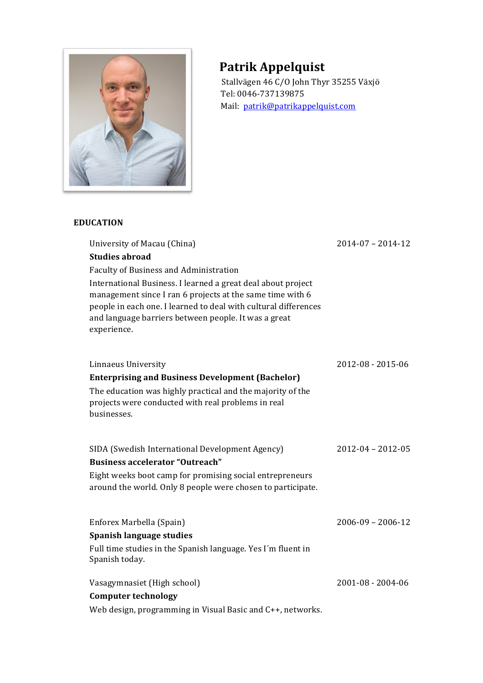

# **Patrik Appelquist**

Stallvägen 46 C/O John Thyr 35255 Växjö Tel: 0046-737139875 Mail: patrik@patrikappelquist.com

## **EDUCATION**

| University of Macau (China)                                                                                                                                                                                                                                         | $2014 - 07 - 2014 - 12$ |
|---------------------------------------------------------------------------------------------------------------------------------------------------------------------------------------------------------------------------------------------------------------------|-------------------------|
| <b>Studies abroad</b>                                                                                                                                                                                                                                               |                         |
| <b>Faculty of Business and Administration</b>                                                                                                                                                                                                                       |                         |
| International Business. I learned a great deal about project<br>management since I ran 6 projects at the same time with 6<br>people in each one. I learned to deal with cultural differences<br>and language barriers between people. It was a great<br>experience. |                         |
| Linnaeus University                                                                                                                                                                                                                                                 | 2012-08 - 2015-06       |
| <b>Enterprising and Business Development (Bachelor)</b>                                                                                                                                                                                                             |                         |
| The education was highly practical and the majority of the<br>projects were conducted with real problems in real<br>businesses.                                                                                                                                     |                         |
| SIDA (Swedish International Development Agency)                                                                                                                                                                                                                     | $2012 - 04 - 2012 - 05$ |
| <b>Business accelerator "Outreach"</b>                                                                                                                                                                                                                              |                         |
| Eight weeks boot camp for promising social entrepreneurs<br>around the world. Only 8 people were chosen to participate.                                                                                                                                             |                         |
| Enforex Marbella (Spain)                                                                                                                                                                                                                                            | $2006 - 09 - 2006 - 12$ |
| Spanish language studies                                                                                                                                                                                                                                            |                         |
| Full time studies in the Spanish language. Yes I'm fluent in<br>Spanish today.                                                                                                                                                                                      |                         |
| Vasagymnasiet (High school)                                                                                                                                                                                                                                         | 2001-08 - 2004-06       |
| <b>Computer technology</b>                                                                                                                                                                                                                                          |                         |
| Web design, programming in Visual Basic and C++, networks.                                                                                                                                                                                                          |                         |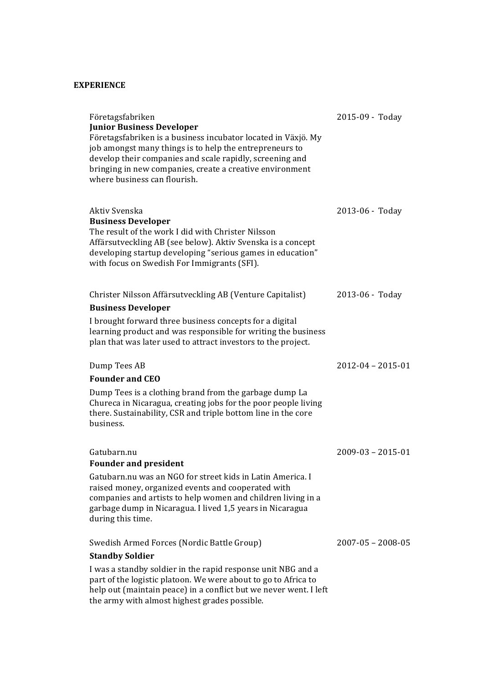#### **EXPERIENCE**

| Företagsfabriken<br><b>Junior Business Developer</b><br>Företagsfabriken is a business incubator located in Växjö. My<br>job amongst many things is to help the entrepreneurs to<br>develop their companies and scale rapidly, screening and<br>bringing in new companies, create a creative environment<br>where business can flourish. | 2015-09 - Today         |
|------------------------------------------------------------------------------------------------------------------------------------------------------------------------------------------------------------------------------------------------------------------------------------------------------------------------------------------|-------------------------|
| Aktiv Svenska<br><b>Business Developer</b><br>The result of the work I did with Christer Nilsson<br>Affärsutveckling AB (see below). Aktiv Svenska is a concept<br>developing startup developing "serious games in education"<br>with focus on Swedish For Immigrants (SFI).                                                             | 2013-06 - Today         |
| Christer Nilsson Affärsutveckling AB (Venture Capitalist)<br><b>Business Developer</b><br>I brought forward three business concepts for a digital<br>learning product and was responsible for writing the business<br>plan that was later used to attract investors to the project.                                                      | 2013-06 - Today         |
| Dump Tees AB<br><b>Founder and CEO</b><br>Dump Tees is a clothing brand from the garbage dump La<br>Chureca in Nicaragua, creating jobs for the poor people living<br>there. Sustainability, CSR and triple bottom line in the core<br>business.                                                                                         | $2012 - 04 - 2015 - 01$ |
| Gatubarn.nu<br><b>Founder and president</b><br>Gatubarn.nu was an NGO for street kids in Latin America. I<br>raised money, organized events and cooperated with<br>companies and artists to help women and children living in a<br>garbage dump in Nicaragua. I lived 1,5 years in Nicaragua<br>during this time.                        | $2009 - 03 - 2015 - 01$ |
| Swedish Armed Forces (Nordic Battle Group)<br><b>Standby Soldier</b><br>I was a standby soldier in the rapid response unit NBG and a<br>part of the logistic platoon. We were about to go to Africa to<br>help out (maintain peace) in a conflict but we never went. I left<br>the army with almost highest grades possible.             | $2007 - 05 - 2008 - 05$ |